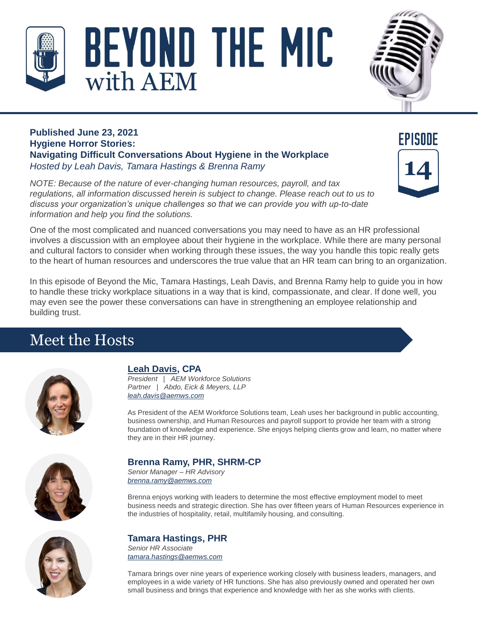



#### **Published June 23, 2021 Hygiene Horror Stories: Navigating Difficult Conversations About Hygiene in the Workplace** *Hosted by Leah Davis, Tamara Hastings & Brenna Ramy*

*NOTE: Because of the nature of ever-changing human resources, payroll, and tax regulations, all information discussed herein is subject to change. Please reach out to us to discuss your organization's unique challenges so that we can provide you with up-to-date information and help you find the solutions.*



One of the most complicated and nuanced conversations you may need to have as an HR professional involves a discussion with an employee about their hygiene in the workplace. While there are many personal and cultural factors to consider when working through these issues, the way you handle this topic really gets to the heart of human resources and underscores the true value that an HR team can bring to an organization.

In this episode of Beyond the Mic, Tamara Hastings, Leah Davis, and Brenna Ramy help to guide you in how to handle these tricky workplace situations in a way that is kind, compassionate, and clear. If done well, you may even see the power these conversations can have in strengthening an employee relationship and building trust.

# Meet the Hosts



## **[Leah Davis,](https://aemcpas.com/our-partners/leah-davis-cpa/) CPA**

*President | AEM Workforce Solutions Partner | Abdo, Eick & Meyers, LLP [leah.davis@aemws.com](mailto:leah.davis@aemws.com)*

As President of the AEM Workforce Solutions team, Leah uses her background in public accounting, business ownership, and Human Resources and payroll support to provide her team with a strong foundation of knowledge and experience. She enjoys helping clients grow and learn, no matter where they are in their HR journey.



# **Brenna Ramy, PHR, SHRM-CP**

*Senior Manager – HR Advisory [brenna.ramy@aemws.com](mailto:brenna.ramy@aemws.com)*

Brenna enjoys working with leaders to determine the most effective employment model to meet business needs and strategic direction. She has over fifteen years of Human Resources experience in the industries of hospitality, retail, multifamily housing, and consulting.



### **Tamara Hastings, PHR**

*Senior HR Associate [tamara.hastings@aemws.com](mailto:Tamara.hastings@aemws.com)*

Tamara brings over nine years of experience working closely with business leaders, managers, and employees in a wide variety of HR functions. She has also previously owned and operated her own small business and brings that experience and knowledge with her as she works with clients.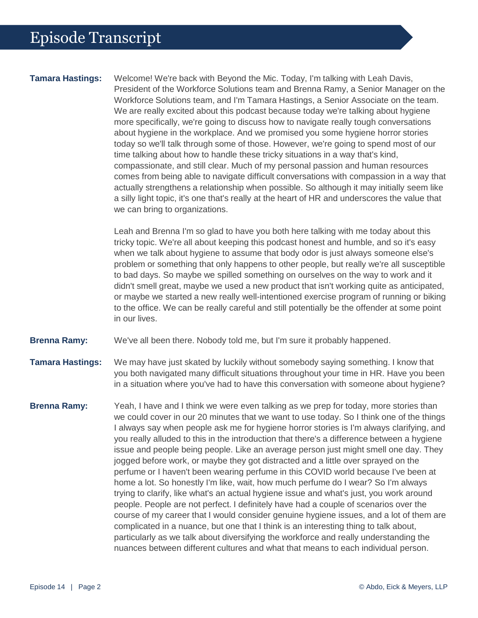**Tamara Hastings:** Welcome! We're back with Beyond the Mic. Today, I'm talking with Leah Davis, President of the Workforce Solutions team and Brenna Ramy, a Senior Manager on the Workforce Solutions team, and I'm Tamara Hastings, a Senior Associate on the team. We are really excited about this podcast because today we're talking about hygiene more specifically, we're going to discuss how to navigate really tough conversations about hygiene in the workplace. And we promised you some hygiene horror stories today so we'll talk through some of those. However, we're going to spend most of our time talking about how to handle these tricky situations in a way that's kind, compassionate, and still clear. Much of my personal passion and human resources comes from being able to navigate difficult conversations with compassion in a way that actually strengthens a relationship when possible. So although it may initially seem like a silly light topic, it's one that's really at the heart of HR and underscores the value that we can bring to organizations.

> Leah and Brenna I'm so glad to have you both here talking with me today about this tricky topic. We're all about keeping this podcast honest and humble, and so it's easy when we talk about hygiene to assume that body odor is just always someone else's problem or something that only happens to other people, but really we're all susceptible to bad days. So maybe we spilled something on ourselves on the way to work and it didn't smell great, maybe we used a new product that isn't working quite as anticipated, or maybe we started a new really well-intentioned exercise program of running or biking to the office. We can be really careful and still potentially be the offender at some point in our lives.

**Brenna Ramy:** We've all been there. Nobody told me, but I'm sure it probably happened.

**Tamara Hastings:** We may have just skated by luckily without somebody saying something. I know that you both navigated many difficult situations throughout your time in HR. Have you been in a situation where you've had to have this conversation with someone about hygiene?

**Brenna Ramy:** Yeah, I have and I think we were even talking as we prep for today, more stories than we could cover in our 20 minutes that we want to use today. So I think one of the things I always say when people ask me for hygiene horror stories is I'm always clarifying, and you really alluded to this in the introduction that there's a difference between a hygiene issue and people being people. Like an average person just might smell one day. They jogged before work, or maybe they got distracted and a little over sprayed on the perfume or I haven't been wearing perfume in this COVID world because I've been at home a lot. So honestly I'm like, wait, how much perfume do I wear? So I'm always trying to clarify, like what's an actual hygiene issue and what's just, you work around people. People are not perfect. I definitely have had a couple of scenarios over the course of my career that I would consider genuine hygiene issues, and a lot of them are complicated in a nuance, but one that I think is an interesting thing to talk about, particularly as we talk about diversifying the workforce and really understanding the nuances between different cultures and what that means to each individual person.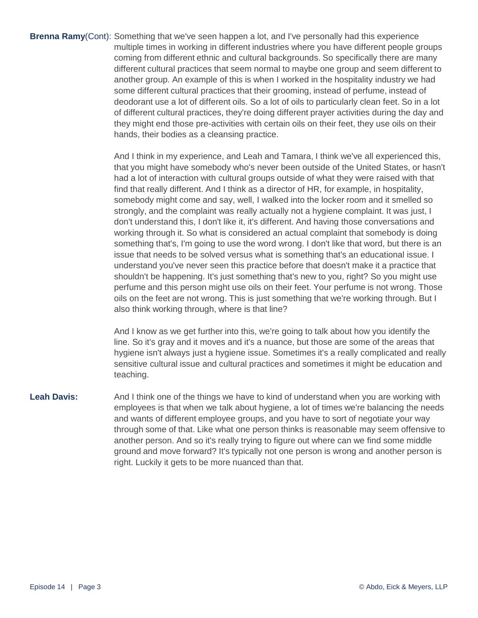**Brenna Ramy**(Cont): Something that we've seen happen a lot, and I've personally had this experience multiple times in working in different industries where you have different people groups coming from different ethnic and cultural backgrounds. So specifically there are many different cultural practices that seem normal to maybe one group and seem different to another group. An example of this is when I worked in the hospitality industry we had some different cultural practices that their grooming, instead of perfume, instead of deodorant use a lot of different oils. So a lot of oils to particularly clean feet. So in a lot of different cultural practices, they're doing different prayer activities during the day and they might end those pre-activities with certain oils on their feet, they use oils on their hands, their bodies as a cleansing practice.

> And I think in my experience, and Leah and Tamara, I think we've all experienced this, that you might have somebody who's never been outside of the United States, or hasn't had a lot of interaction with cultural groups outside of what they were raised with that find that really different. And I think as a director of HR, for example, in hospitality, somebody might come and say, well, I walked into the locker room and it smelled so strongly, and the complaint was really actually not a hygiene complaint. It was just, I don't understand this, I don't like it, it's different. And having those conversations and working through it. So what is considered an actual complaint that somebody is doing something that's, I'm going to use the word wrong. I don't like that word, but there is an issue that needs to be solved versus what is something that's an educational issue. I understand you've never seen this practice before that doesn't make it a practice that shouldn't be happening. It's just something that's new to you, right? So you might use perfume and this person might use oils on their feet. Your perfume is not wrong. Those oils on the feet are not wrong. This is just something that we're working through. But I also think working through, where is that line?

> And I know as we get further into this, we're going to talk about how you identify the line. So it's gray and it moves and it's a nuance, but those are some of the areas that hygiene isn't always just a hygiene issue. Sometimes it's a really complicated and really sensitive cultural issue and cultural practices and sometimes it might be education and teaching.

**Leah Davis:** And I think one of the things we have to kind of understand when you are working with employees is that when we talk about hygiene, a lot of times we're balancing the needs and wants of different employee groups, and you have to sort of negotiate your way through some of that. Like what one person thinks is reasonable may seem offensive to another person. And so it's really trying to figure out where can we find some middle ground and move forward? It's typically not one person is wrong and another person is right. Luckily it gets to be more nuanced than that.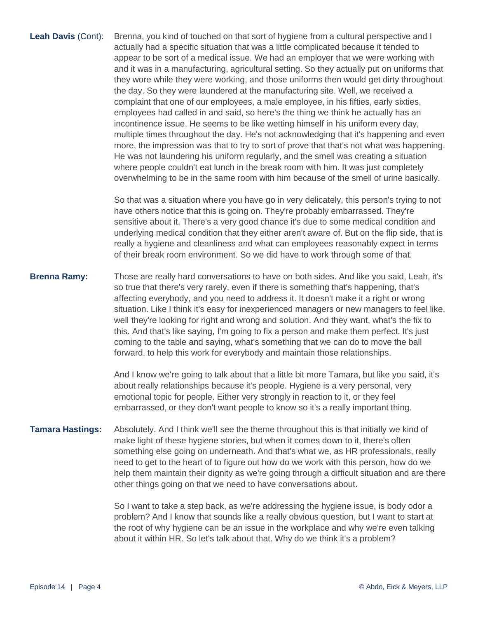**Leah Davis** (Cont): Brenna, you kind of touched on that sort of hygiene from a cultural perspective and I actually had a specific situation that was a little complicated because it tended to appear to be sort of a medical issue. We had an employer that we were working with and it was in a manufacturing, agricultural setting. So they actually put on uniforms that they wore while they were working, and those uniforms then would get dirty throughout the day. So they were laundered at the manufacturing site. Well, we received a complaint that one of our employees, a male employee, in his fifties, early sixties, employees had called in and said, so here's the thing we think he actually has an incontinence issue. He seems to be like wetting himself in his uniform every day, multiple times throughout the day. He's not acknowledging that it's happening and even more, the impression was that to try to sort of prove that that's not what was happening. He was not laundering his uniform regularly, and the smell was creating a situation where people couldn't eat lunch in the break room with him. It was just completely overwhelming to be in the same room with him because of the smell of urine basically.

> So that was a situation where you have go in very delicately, this person's trying to not have others notice that this is going on. They're probably embarrassed. They're sensitive about it. There's a very good chance it's due to some medical condition and underlying medical condition that they either aren't aware of. But on the flip side, that is really a hygiene and cleanliness and what can employees reasonably expect in terms of their break room environment. So we did have to work through some of that.

**Brenna Ramy:** Those are really hard conversations to have on both sides. And like you said, Leah, it's so true that there's very rarely, even if there is something that's happening, that's affecting everybody, and you need to address it. It doesn't make it a right or wrong situation. Like I think it's easy for inexperienced managers or new managers to feel like, well they're looking for right and wrong and solution. And they want, what's the fix to this. And that's like saying, I'm going to fix a person and make them perfect. It's just coming to the table and saying, what's something that we can do to move the ball forward, to help this work for everybody and maintain those relationships.

> And I know we're going to talk about that a little bit more Tamara, but like you said, it's about really relationships because it's people. Hygiene is a very personal, very emotional topic for people. Either very strongly in reaction to it, or they feel embarrassed, or they don't want people to know so it's a really important thing.

**Tamara Hastings:** Absolutely. And I think we'll see the theme throughout this is that initially we kind of make light of these hygiene stories, but when it comes down to it, there's often something else going on underneath. And that's what we, as HR professionals, really need to get to the heart of to figure out how do we work with this person, how do we help them maintain their dignity as we're going through a difficult situation and are there other things going on that we need to have conversations about.

> So I want to take a step back, as we're addressing the hygiene issue, is body odor a problem? And I know that sounds like a really obvious question, but I want to start at the root of why hygiene can be an issue in the workplace and why we're even talking about it within HR. So let's talk about that. Why do we think it's a problem?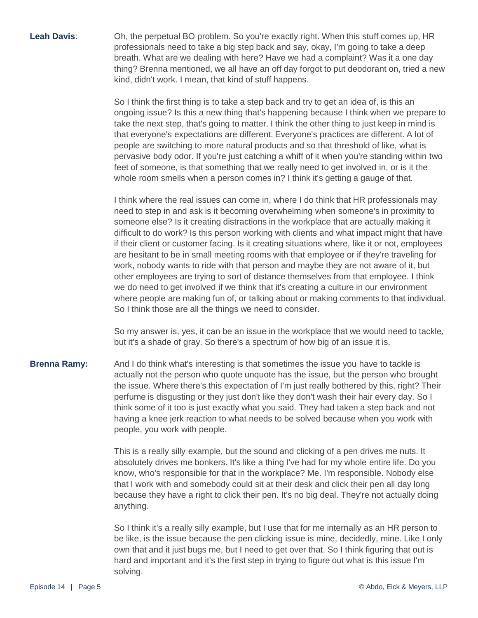Leah Davis: Oh, the perpetual BO problem. So you're exactly right. When this stuff comes up, HR professionals need to take a big step back and say, okay, I'm going to take a deep breath. What are we dealing with here? Have we had a complaint? Was it a one day thing? Brenna mentioned, we all have an off day forgot to put deodorant on, tried a new kind, didn't work. I mean, that kind of stuff happens.

> So I think the first thing is to take a step back and try to get an idea of, is this an ongoing issue? Is this a new thing that's happening because I think when we prepare to take the next step, that's going to matter. I think the other thing to just keep in mind is that everyone's expectations are different. Everyone's practices are different. A lot of people are switching to more natural products and so that threshold of like, what is pervasive body odor. If you're just catching a whiff of it when you're standing within two feet of someone, is that something that we really need to get involved in, or is it the whole room smells when a person comes in? I think it's getting a gauge of that.

> I think where the real issues can come in, where I do think that HR professionals may need to step in and ask is it becoming overwhelming when someone's in proximity to someone else? Is it creating distractions in the workplace that are actually making it difficult to do work? Is this person working with clients and what impact might that have if their client or customer facing. Is it creating situations where, like it or not, employees are hesitant to be in small meeting rooms with that employee or if they're traveling for work, nobody wants to ride with that person and maybe they are not aware of it, but other employees are trying to sort of distance themselves from that employee. I think we do need to get involved if we think that it's creating a culture in our environment where people are making fun of, or talking about or making comments to that individual. So I think those are all the things we need to consider.

> So my answer is, yes, it can be an issue in the workplace that we would need to tackle, but it's a shade of gray. So there's a spectrum of how big of an issue it is.

**Brenna Ramy:** And I do think what's interesting is that sometimes the issue you have to tackle is actually not the person who quote unquote has the issue, but the person who brought the issue. Where there's this expectation of I'm just really bothered by this, right? Their perfume is disgusting or they just don't like they don't wash their hair every day. So I think some of it too is just exactly what you said. They had taken a step back and not having a knee jerk reaction to what needs to be solved because when you work with people, you work with people.

> This is a really silly example, but the sound and clicking of a pen drives me nuts. It absolutely drives me bonkers. It's like a thing I've had for my whole entire life. Do you know, who's responsible for that in the workplace? Me. I'm responsible. Nobody else that I work with and somebody could sit at their desk and click their pen all day long because they have a right to click their pen. It's no big deal. They're not actually doing anything.

So I think it's a really silly example, but I use that for me internally as an HR person to be like, is the issue because the pen clicking issue is mine, decidedly, mine. Like I only own that and it just bugs me, but I need to get over that. So I think figuring that out is hard and important and it's the first step in trying to figure out what is this issue I'm solving.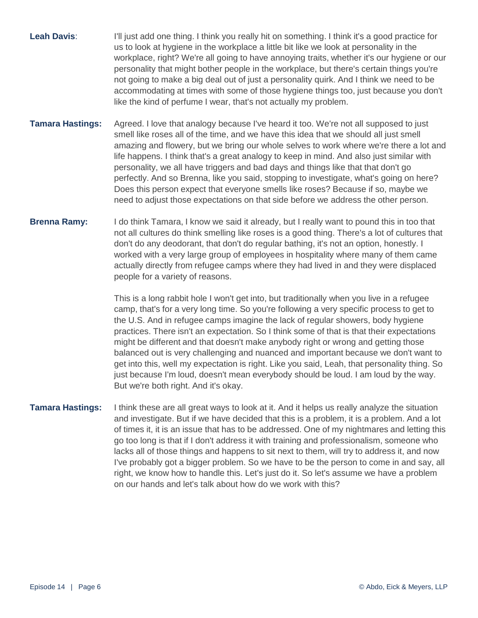**Leah Davis:** I'll just add one thing. I think you really hit on something. I think it's a good practice for us to look at hygiene in the workplace a little bit like we look at personality in the workplace, right? We're all going to have annoying traits, whether it's our hygiene or our personality that might bother people in the workplace, but there's certain things you're not going to make a big deal out of just a personality quirk. And I think we need to be accommodating at times with some of those hygiene things too, just because you don't like the kind of perfume I wear, that's not actually my problem.

- **Tamara Hastings:** Agreed. I love that analogy because I've heard it too. We're not all supposed to just smell like roses all of the time, and we have this idea that we should all just smell amazing and flowery, but we bring our whole selves to work where we're there a lot and life happens. I think that's a great analogy to keep in mind. And also just similar with personality, we all have triggers and bad days and things like that that don't go perfectly. And so Brenna, like you said, stopping to investigate, what's going on here? Does this person expect that everyone smells like roses? Because if so, maybe we need to adjust those expectations on that side before we address the other person.
- **Brenna Ramy:** I do think Tamara, I know we said it already, but I really want to pound this in too that not all cultures do think smelling like roses is a good thing. There's a lot of cultures that don't do any deodorant, that don't do regular bathing, it's not an option, honestly. I worked with a very large group of employees in hospitality where many of them came actually directly from refugee camps where they had lived in and they were displaced people for a variety of reasons.

This is a long rabbit hole I won't get into, but traditionally when you live in a refugee camp, that's for a very long time. So you're following a very specific process to get to the U.S. And in refugee camps imagine the lack of regular showers, body hygiene practices. There isn't an expectation. So I think some of that is that their expectations might be different and that doesn't make anybody right or wrong and getting those balanced out is very challenging and nuanced and important because we don't want to get into this, well my expectation is right. Like you said, Leah, that personality thing. So just because I'm loud, doesn't mean everybody should be loud. I am loud by the way. But we're both right. And it's okay.

**Tamara Hastings:** I think these are all great ways to look at it. And it helps us really analyze the situation and investigate. But if we have decided that this is a problem, it is a problem. And a lot of times it, it is an issue that has to be addressed. One of my nightmares and letting this go too long is that if I don't address it with training and professionalism, someone who lacks all of those things and happens to sit next to them, will try to address it, and now I've probably got a bigger problem. So we have to be the person to come in and say, all right, we know how to handle this. Let's just do it. So let's assume we have a problem on our hands and let's talk about how do we work with this?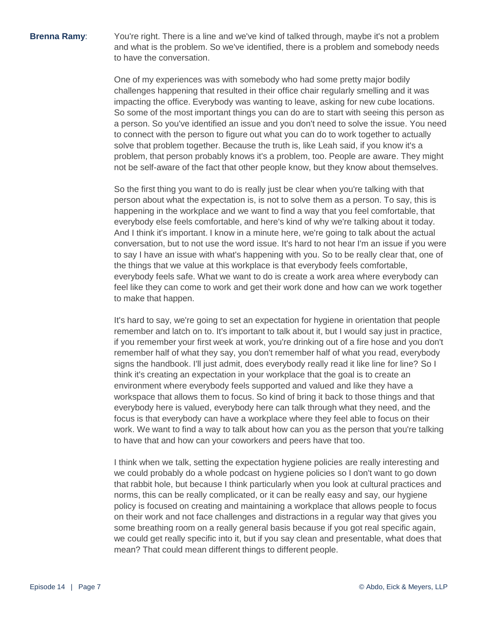**Brenna Ramy:** You're right. There is a line and we've kind of talked through, maybe it's not a problem and what is the problem. So we've identified, there is a problem and somebody needs to have the conversation.

> One of my experiences was with somebody who had some pretty major bodily challenges happening that resulted in their office chair regularly smelling and it was impacting the office. Everybody was wanting to leave, asking for new cube locations. So some of the most important things you can do are to start with seeing this person as a person. So you've identified an issue and you don't need to solve the issue. You need to connect with the person to figure out what you can do to work together to actually solve that problem together. Because the truth is, like Leah said, if you know it's a problem, that person probably knows it's a problem, too. People are aware. They might not be self-aware of the fact that other people know, but they know about themselves.

> So the first thing you want to do is really just be clear when you're talking with that person about what the expectation is, is not to solve them as a person. To say, this is happening in the workplace and we want to find a way that you feel comfortable, that everybody else feels comfortable, and here's kind of why we're talking about it today. And I think it's important. I know in a minute here, we're going to talk about the actual conversation, but to not use the word issue. It's hard to not hear I'm an issue if you were to say I have an issue with what's happening with you. So to be really clear that, one of the things that we value at this workplace is that everybody feels comfortable, everybody feels safe. What we want to do is create a work area where everybody can feel like they can come to work and get their work done and how can we work together to make that happen.

> It's hard to say, we're going to set an expectation for hygiene in orientation that people remember and latch on to. It's important to talk about it, but I would say just in practice, if you remember your first week at work, you're drinking out of a fire hose and you don't remember half of what they say, you don't remember half of what you read, everybody signs the handbook. I'll just admit, does everybody really read it like line for line? So I think it's creating an expectation in your workplace that the goal is to create an environment where everybody feels supported and valued and like they have a workspace that allows them to focus. So kind of bring it back to those things and that everybody here is valued, everybody here can talk through what they need, and the focus is that everybody can have a workplace where they feel able to focus on their work. We want to find a way to talk about how can you as the person that you're talking to have that and how can your coworkers and peers have that too.

> I think when we talk, setting the expectation hygiene policies are really interesting and we could probably do a whole podcast on hygiene policies so I don't want to go down that rabbit hole, but because I think particularly when you look at cultural practices and norms, this can be really complicated, or it can be really easy and say, our hygiene policy is focused on creating and maintaining a workplace that allows people to focus on their work and not face challenges and distractions in a regular way that gives you some breathing room on a really general basis because if you got real specific again, we could get really specific into it, but if you say clean and presentable, what does that mean? That could mean different things to different people.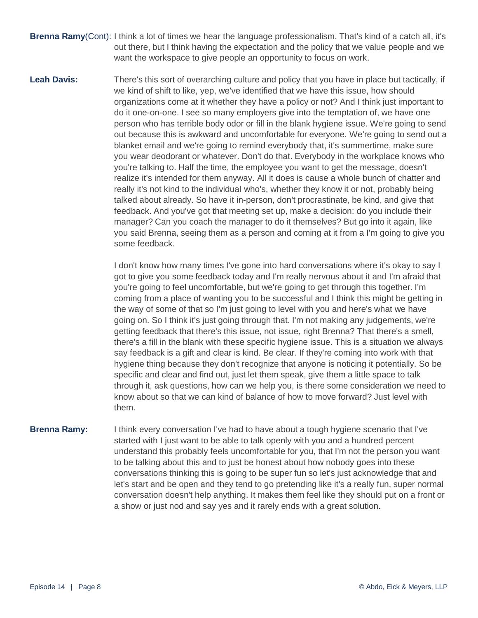- **Brenna Ramy**(Cont): I think a lot of times we hear the language professionalism. That's kind of a catch all, it's out there, but I think having the expectation and the policy that we value people and we want the workspace to give people an opportunity to focus on work.
- **Leah Davis:** There's this sort of overarching culture and policy that you have in place but tactically, if we kind of shift to like, yep, we've identified that we have this issue, how should organizations come at it whether they have a policy or not? And I think just important to do it one-on-one. I see so many employers give into the temptation of, we have one person who has terrible body odor or fill in the blank hygiene issue. We're going to send out because this is awkward and uncomfortable for everyone. We're going to send out a blanket email and we're going to remind everybody that, it's summertime, make sure you wear deodorant or whatever. Don't do that. Everybody in the workplace knows who you're talking to. Half the time, the employee you want to get the message, doesn't realize it's intended for them anyway. All it does is cause a whole bunch of chatter and really it's not kind to the individual who's, whether they know it or not, probably being talked about already. So have it in-person, don't procrastinate, be kind, and give that feedback. And you've got that meeting set up, make a decision: do you include their manager? Can you coach the manager to do it themselves? But go into it again, like you said Brenna, seeing them as a person and coming at it from a I'm going to give you some feedback.

I don't know how many times I've gone into hard conversations where it's okay to say I got to give you some feedback today and I'm really nervous about it and I'm afraid that you're going to feel uncomfortable, but we're going to get through this together. I'm coming from a place of wanting you to be successful and I think this might be getting in the way of some of that so I'm just going to level with you and here's what we have going on. So I think it's just going through that. I'm not making any judgements, we're getting feedback that there's this issue, not issue, right Brenna? That there's a smell, there's a fill in the blank with these specific hygiene issue. This is a situation we always say feedback is a gift and clear is kind. Be clear. If they're coming into work with that hygiene thing because they don't recognize that anyone is noticing it potentially. So be specific and clear and find out, just let them speak, give them a little space to talk through it, ask questions, how can we help you, is there some consideration we need to know about so that we can kind of balance of how to move forward? Just level with them.

**Brenna Ramy:** I think every conversation I've had to have about a tough hygiene scenario that I've started with I just want to be able to talk openly with you and a hundred percent understand this probably feels uncomfortable for you, that I'm not the person you want to be talking about this and to just be honest about how nobody goes into these conversations thinking this is going to be super fun so let's just acknowledge that and let's start and be open and they tend to go pretending like it's a really fun, super normal conversation doesn't help anything. It makes them feel like they should put on a front or a show or just nod and say yes and it rarely ends with a great solution.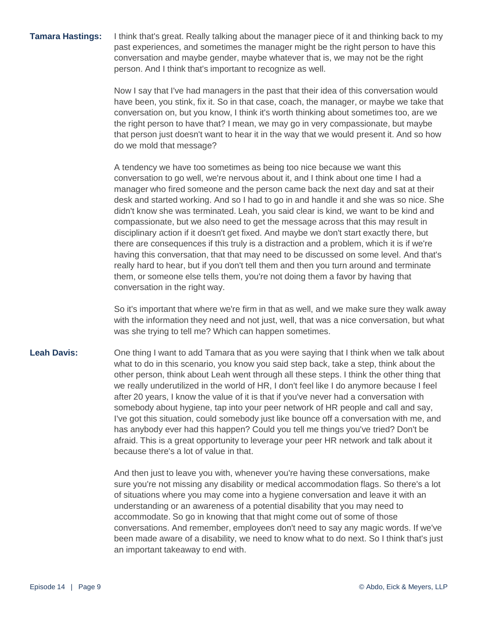**Tamara Hastings:** I think that's great. Really talking about the manager piece of it and thinking back to my past experiences, and sometimes the manager might be the right person to have this conversation and maybe gender, maybe whatever that is, we may not be the right person. And I think that's important to recognize as well.

> Now I say that I've had managers in the past that their idea of this conversation would have been, you stink, fix it. So in that case, coach, the manager, or maybe we take that conversation on, but you know, I think it's worth thinking about sometimes too, are we the right person to have that? I mean, we may go in very compassionate, but maybe that person just doesn't want to hear it in the way that we would present it. And so how do we mold that message?

> A tendency we have too sometimes as being too nice because we want this conversation to go well, we're nervous about it, and I think about one time I had a manager who fired someone and the person came back the next day and sat at their desk and started working. And so I had to go in and handle it and she was so nice. She didn't know she was terminated. Leah, you said clear is kind, we want to be kind and compassionate, but we also need to get the message across that this may result in disciplinary action if it doesn't get fixed. And maybe we don't start exactly there, but there are consequences if this truly is a distraction and a problem, which it is if we're having this conversation, that that may need to be discussed on some level. And that's really hard to hear, but if you don't tell them and then you turn around and terminate them, or someone else tells them, you're not doing them a favor by having that conversation in the right way.

> So it's important that where we're firm in that as well, and we make sure they walk away with the information they need and not just, well, that was a nice conversation, but what was she trying to tell me? Which can happen sometimes.

### **Leah Davis:** One thing I want to add Tamara that as you were saying that I think when we talk about what to do in this scenario, you know you said step back, take a step, think about the other person, think about Leah went through all these steps. I think the other thing that we really underutilized in the world of HR, I don't feel like I do anymore because I feel after 20 years, I know the value of it is that if you've never had a conversation with somebody about hygiene, tap into your peer network of HR people and call and say, I've got this situation, could somebody just like bounce off a conversation with me, and has anybody ever had this happen? Could you tell me things you've tried? Don't be afraid. This is a great opportunity to leverage your peer HR network and talk about it because there's a lot of value in that.

And then just to leave you with, whenever you're having these conversations, make sure you're not missing any disability or medical accommodation flags. So there's a lot of situations where you may come into a hygiene conversation and leave it with an understanding or an awareness of a potential disability that you may need to accommodate. So go in knowing that that might come out of some of those conversations. And remember, employees don't need to say any magic words. If we've been made aware of a disability, we need to know what to do next. So I think that's just an important takeaway to end with.